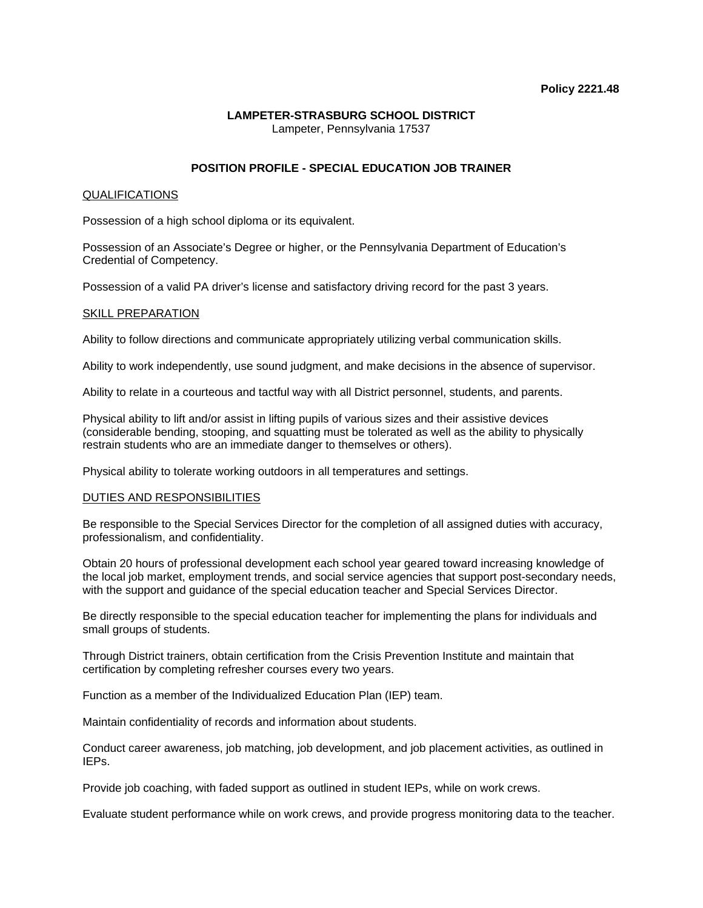## **LAMPETER-STRASBURG SCHOOL DISTRICT** Lampeter, Pennsylvania 17537

# **POSITION PROFILE - SPECIAL EDUCATION JOB TRAINER**

### QUALIFICATIONS

Possession of a high school diploma or its equivalent.

Possession of an Associate's Degree or higher, or the Pennsylvania Department of Education's Credential of Competency.

Possession of a valid PA driver's license and satisfactory driving record for the past 3 years.

#### SKILL PREPARATION

Ability to follow directions and communicate appropriately utilizing verbal communication skills.

Ability to work independently, use sound judgment, and make decisions in the absence of supervisor.

Ability to relate in a courteous and tactful way with all District personnel, students, and parents.

Physical ability to lift and/or assist in lifting pupils of various sizes and their assistive devices (considerable bending, stooping, and squatting must be tolerated as well as the ability to physically restrain students who are an immediate danger to themselves or others).

Physical ability to tolerate working outdoors in all temperatures and settings.

## DUTIES AND RESPONSIBILITIES

Be responsible to the Special Services Director for the completion of all assigned duties with accuracy, professionalism, and confidentiality.

Obtain 20 hours of professional development each school year geared toward increasing knowledge of the local job market, employment trends, and social service agencies that support post-secondary needs, with the support and guidance of the special education teacher and Special Services Director.

Be directly responsible to the special education teacher for implementing the plans for individuals and small groups of students.

Through District trainers, obtain certification from the Crisis Prevention Institute and maintain that certification by completing refresher courses every two years.

Function as a member of the Individualized Education Plan (IEP) team.

Maintain confidentiality of records and information about students.

Conduct career awareness, job matching, job development, and job placement activities, as outlined in IEPs.

Provide job coaching, with faded support as outlined in student IEPs, while on work crews.

Evaluate student performance while on work crews, and provide progress monitoring data to the teacher.